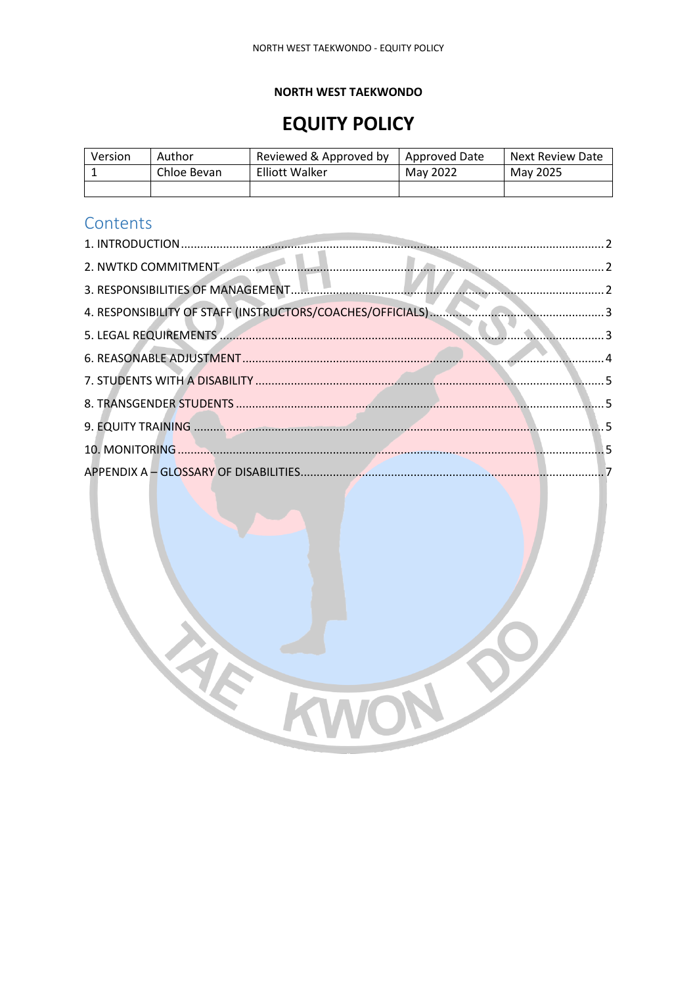### **NORTH WEST TAEKWONDO**

# **EQUITY POLICY**

| Version | Author      | Reviewed & Approved by | Approved Date | Next Review Date |
|---------|-------------|------------------------|---------------|------------------|
|         | Chloe Bevan | <b>Elliott Walker</b>  | May 2022      | May 2025         |
|         |             |                        |               |                  |

## Contents

<span id="page-0-0"></span>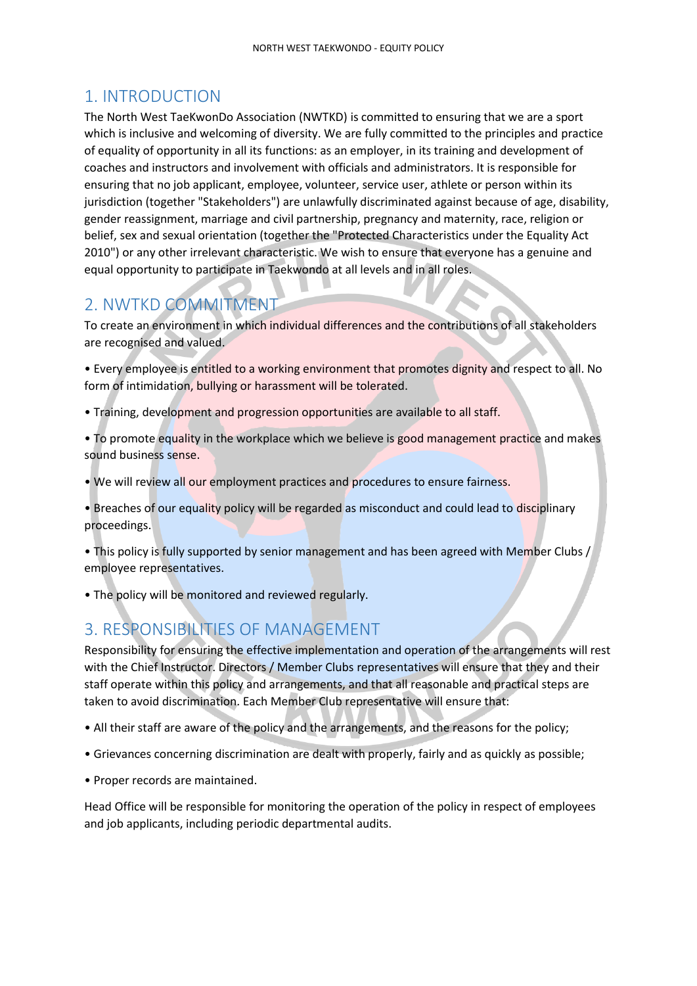### 1. INTRODUCTION

The North West TaeKwonDo Association (NWTKD) is committed to ensuring that we are a sport which is inclusive and welcoming of diversity. We are fully committed to the principles and practice of equality of opportunity in all its functions: as an employer, in its training and development of coaches and instructors and involvement with officials and administrators. It is responsible for ensuring that no job applicant, employee, volunteer, service user, athlete or person within its jurisdiction (together "Stakeholders") are unlawfully discriminated against because of age, disability, gender reassignment, marriage and civil partnership, pregnancy and maternity, race, religion or belief, sex and sexual orientation (together the "Protected Characteristics under the Equality Act 2010") or any other irrelevant characteristic. We wish to ensure that everyone has a genuine and equal opportunity to participate in Taekwondo at all levels and in all roles.

### <span id="page-1-0"></span>2. NWTKD COMMITMENT

To create an environment in which individual differences and the contributions of all stakeholders are recognised and valued.

• Every employee is entitled to a working environment that promotes dignity and respect to all. No form of intimidation, bullying or harassment will be tolerated.

- Training, development and progression opportunities are available to all staff.
- To promote equality in the workplace which we believe is good management practice and makes sound business sense.
- We will review all our employment practices and procedures to ensure fairness.
- Breaches of our equality policy will be regarded as misconduct and could lead to disciplinary proceedings.
- This policy is fully supported by senior management and has been agreed with Member Clubs / employee representatives.
- The policy will be monitored and reviewed regularly.

## <span id="page-1-1"></span>3. RESPONSIBILITIES OF MANAGEMENT

Responsibility for ensuring the effective implementation and operation of the arrangements will rest with the Chief Instructor. Directors / Member Clubs representatives will ensure that they and their staff operate within this policy and arrangements, and that all reasonable and practical steps are taken to avoid discrimination. Each Member Club representative will ensure that:

- All their staff are aware of the policy and the arrangements, and the reasons for the policy;
- Grievances concerning discrimination are dealt with properly, fairly and as quickly as possible;
- Proper records are maintained.

Head Office will be responsible for monitoring the operation of the policy in respect of employees and job applicants, including periodic departmental audits.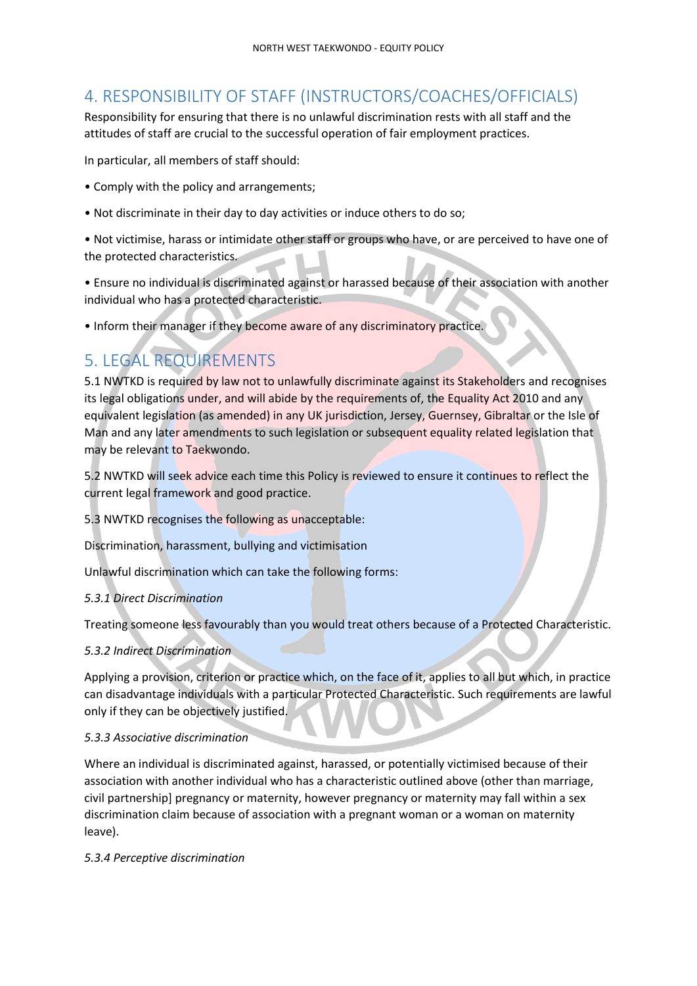## <span id="page-2-0"></span>4. RESPONSIBILITY OF STAFF (INSTRUCTORS/COACHES/OFFICIALS)

Responsibility for ensuring that there is no unlawful discrimination rests with all staff and the attitudes of staff are crucial to the successful operation of fair employment practices.

In particular, all members of staff should:

- Comply with the policy and arrangements;
- Not discriminate in their day to day activities or induce others to do so;

• Not victimise, harass or intimidate other staff or groups who have, or are perceived to have one of the protected characteristics.

• Ensure no individual is discriminated against or harassed because of their association with another individual who has a protected characteristic.

• Inform their manager if they become aware of any discriminatory practice.

## <span id="page-2-1"></span>5. LEGAL REQUIREMENTS

5.1 NWTKD is required by law not to unlawfully discriminate against its Stakeholders and recognises its legal obligations under, and will abide by the requirements of, the Equality Act 2010 and any equivalent legislation (as amended) in any UK jurisdiction, Jersey, Guernsey, Gibraltar or the Isle of Man and any later amendments to such legislation or subsequent equality related legislation that may be relevant to Taekwondo.

5.2 NWTKD will seek advice each time this Policy is reviewed to ensure it continues to reflect the current legal framework and good practice.

5.3 NWTKD recognises the following as unacceptable:

Discrimination, harassment, bullying and victimisation

Unlawful discrimination which can take the following forms:

### *5.3.1 Direct Discrimination*

Treating someone less favourably than you would treat others because of a Protected Characteristic.

### *5.3.2 Indirect Discrimination*

Applying a provision, criterion or practice which, on the face of it, applies to all but which, in practice can disadvantage individuals with a particular Protected Characteristic. Such requirements are lawful only if they can be objectively justified.

### *5.3.3 Associative discrimination*

Where an individual is discriminated against, harassed, or potentially victimised because of their association with another individual who has a characteristic outlined above (other than marriage, civil partnership] pregnancy or maternity, however pregnancy or maternity may fall within a sex discrimination claim because of association with a pregnant woman or a woman on maternity leave).

### *5.3.4 Perceptive discrimination*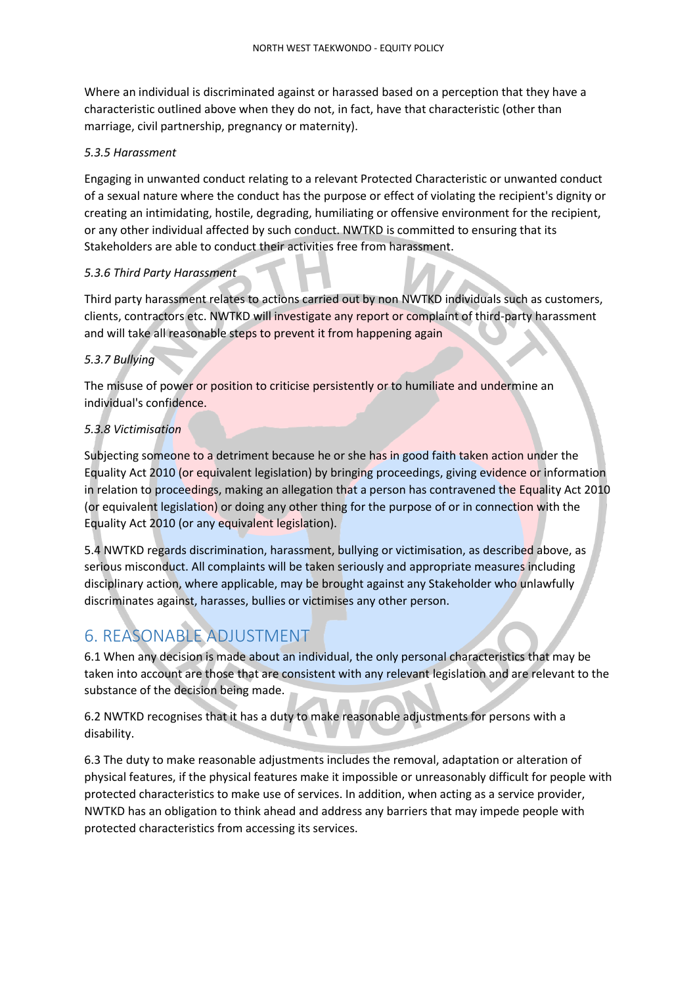Where an individual is discriminated against or harassed based on a perception that they have a characteristic outlined above when they do not, in fact, have that characteristic (other than marriage, civil partnership, pregnancy or maternity).

### *5.3.5 Harassment*

Engaging in unwanted conduct relating to a relevant Protected Characteristic or unwanted conduct of a sexual nature where the conduct has the purpose or effect of violating the recipient's dignity or creating an intimidating, hostile, degrading, humiliating or offensive environment for the recipient, or any other individual affected by such conduct. NWTKD is committed to ensuring that its Stakeholders are able to conduct their activities free from harassment.

### *5.3.6 Third Party Harassment*

Third party harassment relates to actions carried out by non NWTKD individuals such as customers, clients, contractors etc. NWTKD will investigate any report or complaint of third-party harassment and will take all reasonable steps to prevent it from happening again

### *5.3.7 Bullying*

The misuse of power or position to criticise persistently or to humiliate and undermine an individual's confidence.

### *5.3.8 Victimisation*

Subjecting someone to a detriment because he or she has in good faith taken action under the Equality Act 2010 (or equivalent legislation) by bringing proceedings, giving evidence or information in relation to proceedings, making an allegation that a person has contravened the Equality Act 2010 (or equivalent legislation) or doing any other thing for the purpose of or in connection with the Equality Act 2010 (or any equivalent legislation).

5.4 NWTKD regards discrimination, harassment, bullying or victimisation, as described above, as serious misconduct. All complaints will be taken seriously and appropriate measures including disciplinary action, where applicable, may be brought against any Stakeholder who unlawfully discriminates against, harasses, bullies or victimises any other person.

### <span id="page-3-0"></span>6. REASONABLE ADJUSTMENT

6.1 When any decision is made about an individual, the only personal characteristics that may be taken into account are those that are consistent with any relevant legislation and are relevant to the substance of the decision being made.

6.2 NWTKD recognises that it has a duty to make reasonable adjustments for persons with a disability.

6.3 The duty to make reasonable adjustments includes the removal, adaptation or alteration of physical features, if the physical features make it impossible or unreasonably difficult for people with protected characteristics to make use of services. In addition, when acting as a service provider, NWTKD has an obligation to think ahead and address any barriers that may impede people with protected characteristics from accessing its services.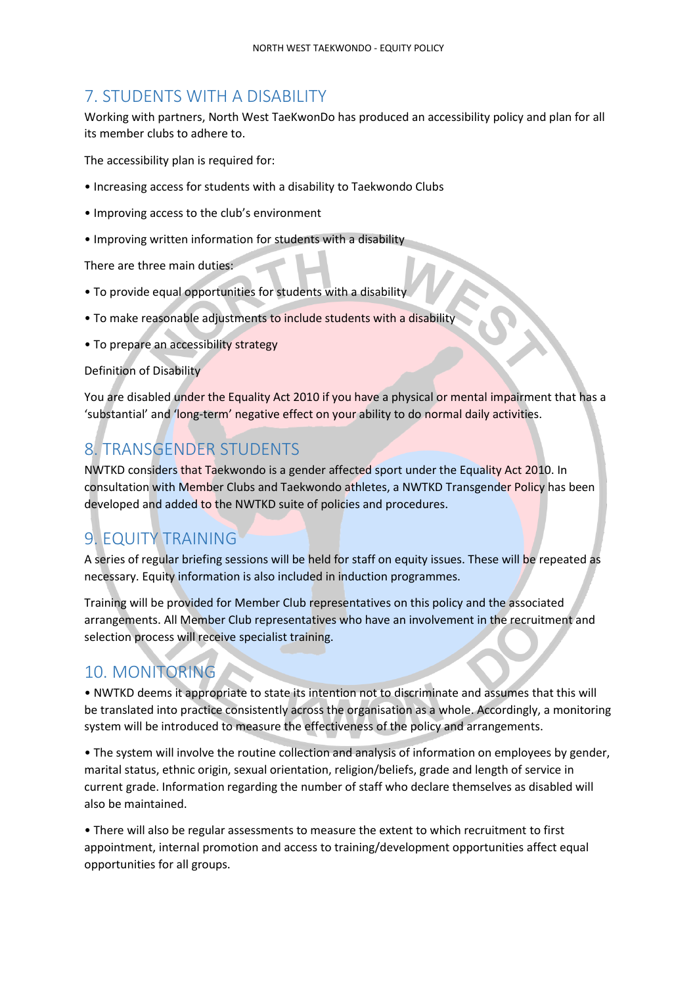### <span id="page-4-0"></span>7. STUDENTS WITH A DISABILITY

Working with partners, North West TaeKwonDo has produced an accessibility policy and plan for all its member clubs to adhere to.

The accessibility plan is required for:

- Increasing access for students with a disability to Taekwondo Clubs
- Improving access to the club's environment
- Improving written information for students with a disability

There are three main duties:

- To provide equal opportunities for students with a disability
- To make reasonable adjustments to include students with a disability
- To prepare an accessibility strategy

Definition of Disability

You are disabled under the Equality Act 2010 if you have a physical or mental impairment that has a 'substantial' and 'long-term' negative effect on your ability to do normal daily activities.

## <span id="page-4-1"></span>8. TRANSGENDER STUDENTS

NWTKD considers that Taekwondo is a gender affected sport under the Equality Act 2010. In consultation with Member Clubs and Taekwondo athletes, a NWTKD Transgender Policy has been developed and added to the NWTKD suite of policies and procedures.

## <span id="page-4-2"></span>9. EQUITY TRAINING

A series of regular briefing sessions will be held for staff on equity issues. These will be repeated as necessary. Equity information is also included in induction programmes.

Training will be provided for Member Club representatives on this policy and the associated arrangements. All Member Club representatives who have an involvement in the recruitment and selection process will receive specialist training.

### <span id="page-4-3"></span>10. MONITORING

• NWTKD deems it appropriate to state its intention not to discriminate and assumes that this will be translated into practice consistently across the organisation as a whole. Accordingly, a monitoring system will be introduced to measure the effectiveness of the policy and arrangements.

• The system will involve the routine collection and analysis of information on employees by gender, marital status, ethnic origin, sexual orientation, religion/beliefs, grade and length of service in current grade. Information regarding the number of staff who declare themselves as disabled will also be maintained.

• There will also be regular assessments to measure the extent to which recruitment to first appointment, internal promotion and access to training/development opportunities affect equal opportunities for all groups.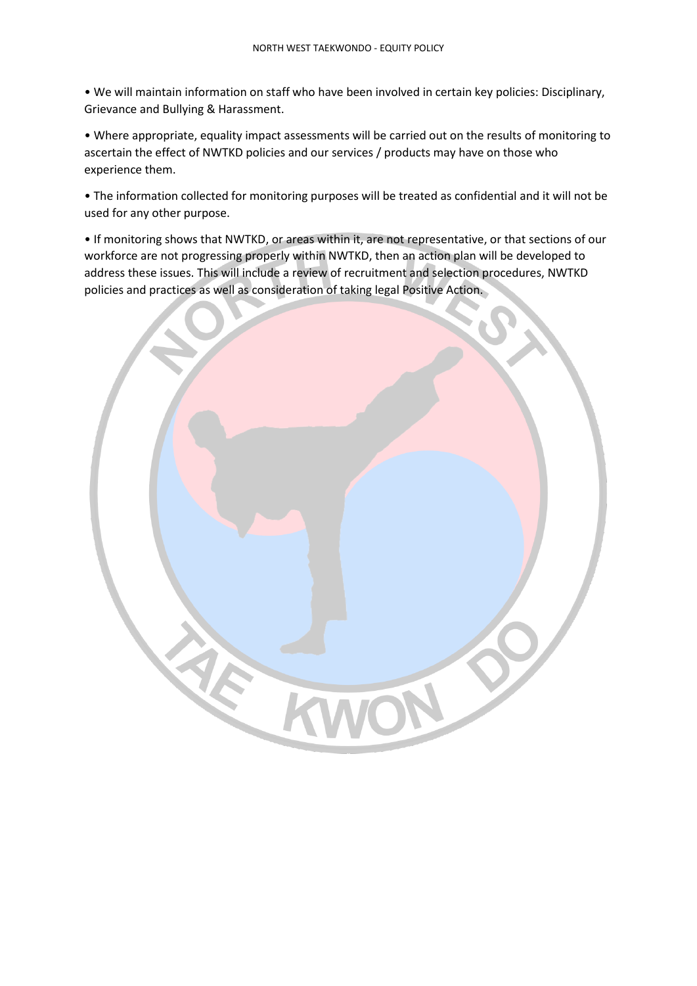• We will maintain information on staff who have been involved in certain key policies: Disciplinary, Grievance and Bullying & Harassment.

• Where appropriate, equality impact assessments will be carried out on the results of monitoring to ascertain the effect of NWTKD policies and our services / products may have on those who experience them.

• The information collected for monitoring purposes will be treated as confidential and it will not be used for any other purpose.

• If monitoring shows that NWTKD, or areas within it, are not representative, or that sections of our workforce are not progressing properly within NWTKD, then an action plan will be developed to address these issues. This will include a review of recruitment and selection procedures, NWTKD policies and practices as well as consideration of taking legal Positive Action.

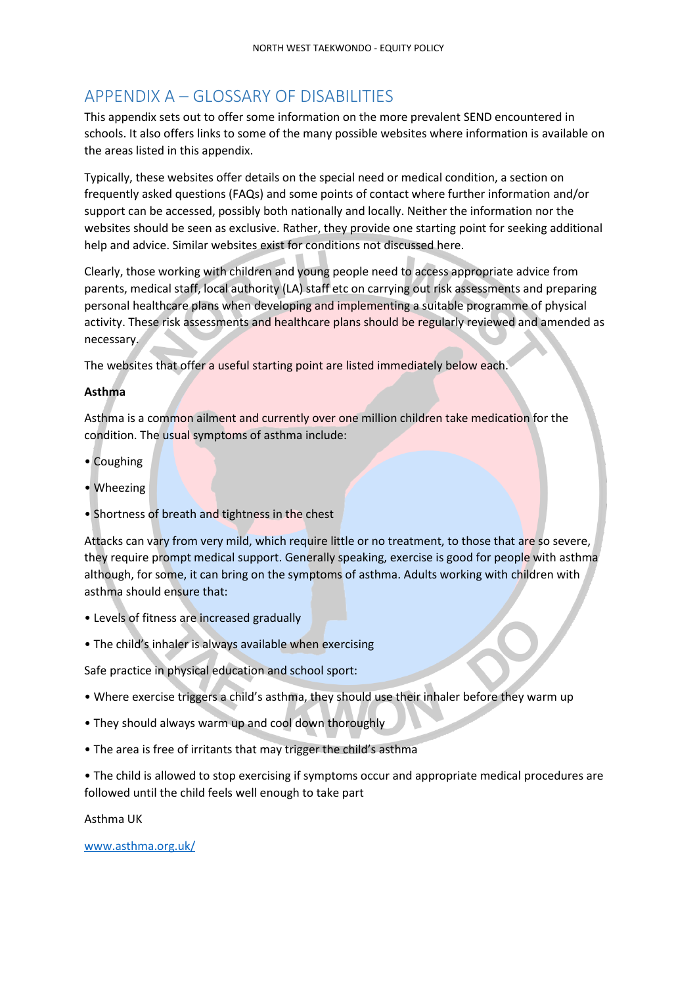## <span id="page-6-0"></span>APPENDIX A – GLOSSARY OF DISABILITIES

This appendix sets out to offer some information on the more prevalent SEND encountered in schools. It also offers links to some of the many possible websites where information is available on the areas listed in this appendix.

Typically, these websites offer details on the special need or medical condition, a section on frequently asked questions (FAQs) and some points of contact where further information and/or support can be accessed, possibly both nationally and locally. Neither the information nor the websites should be seen as exclusive. Rather, they provide one starting point for seeking additional help and advice. Similar websites exist for conditions not discussed here.

Clearly, those working with children and young people need to access appropriate advice from parents, medical staff, local authority (LA) staff etc on carrying out risk assessments and preparing personal healthcare plans when developing and implementing a suitable programme of physical activity. These risk assessments and healthcare plans should be regularly reviewed and amended as necessary.

The websites that offer a useful starting point are listed immediately below each.

### **Asthma**

Asthma is a common ailment and currently over one million children take medication for the condition. The usual symptoms of asthma include:

- Coughing
- Wheezing
- Shortness of breath and tightness in the chest

Attacks can vary from very mild, which require little or no treatment, to those that are so severe, they require prompt medical support. Generally speaking, exercise is good for people with asthma although, for some, it can bring on the symptoms of asthma. Adults working with children with asthma should ensure that:

- Levels of fitness are increased gradually
- The child's inhaler is always available when exercising

Safe practice in physical education and school sport:

- Where exercise triggers a child's asthma, they should use their inhaler before they warm up
- They should always warm up and cool down thoroughly
- The area is free of irritants that may trigger the child's asthma

• The child is allowed to stop exercising if symptoms occur and appropriate medical procedures are followed until the child feels well enough to take part

Asthma UK

[www.asthma.org.uk/](http://www.asthma.org.uk/)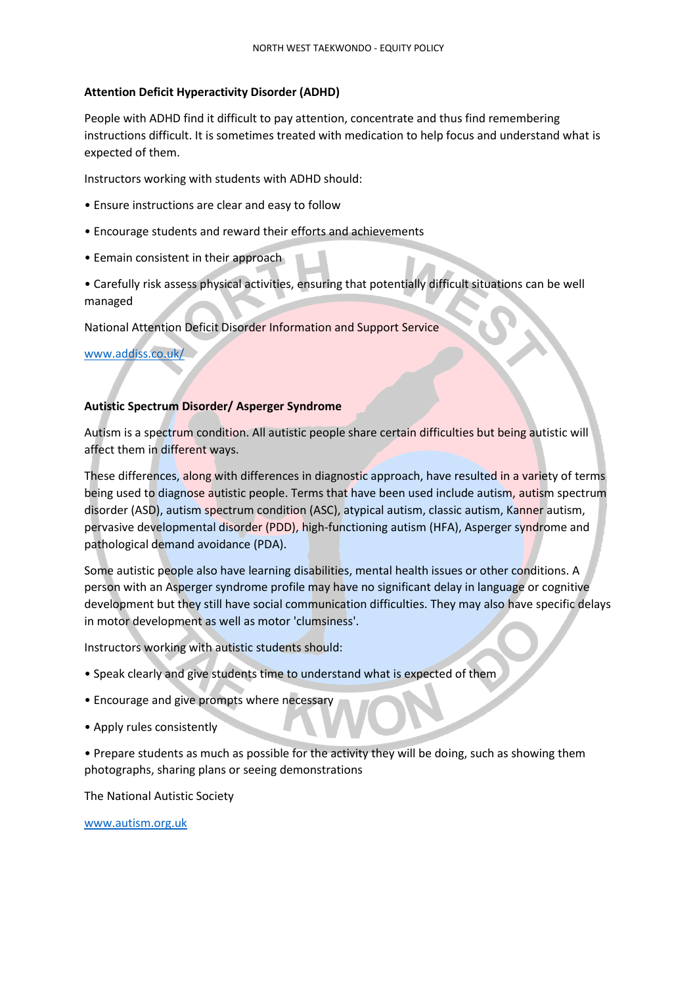### **Attention Deficit Hyperactivity Disorder (ADHD)**

People with ADHD find it difficult to pay attention, concentrate and thus find remembering instructions difficult. It is sometimes treated with medication to help focus and understand what is expected of them.

Instructors working with students with ADHD should:

- Ensure instructions are clear and easy to follow
- Encourage students and reward their efforts and achievements
- Eemain consistent in their approach
- Carefully risk assess physical activities, ensuring that potentially difficult situations can be well managed

National Attention Deficit Disorder Information and Support Service

[www.addiss.co.uk/](http://www.addiss.co.uk/)

### **Autistic Spectrum Disorder/ Asperger Syndrome**

Autism is a spectrum condition. All autistic people share certain difficulties but being autistic will affect them in different ways.

These differences, along with differences in diagnostic approach, have resulted in a variety of terms being used to diagnose autistic people. Terms that have been used include autism, autism spectrum disorder (ASD), autism spectrum condition (ASC), atypical autism, classic autism, Kanner autism, pervasive developmental disorder (PDD), high-functioning autism (HFA), Asperger syndrome and pathological demand avoidance (PDA).

Some autistic people also have learning disabilities, mental health issues or other conditions. A person with an Asperger syndrome profile may have no significant delay in language or cognitive development but they still have social communication difficulties. They may also have specific delays in motor development as well as motor 'clumsiness'.

Instructors working with autistic students should:

- Speak clearly and give students time to understand what is expected of them
- Encourage and give prompts where necessary
- Apply rules consistently

• Prepare students as much as possible for the activity they will be doing, such as showing them photographs, sharing plans or seeing demonstrations

The National Autistic Society

[www.autism.org.uk](http://www.autism.org.uk/)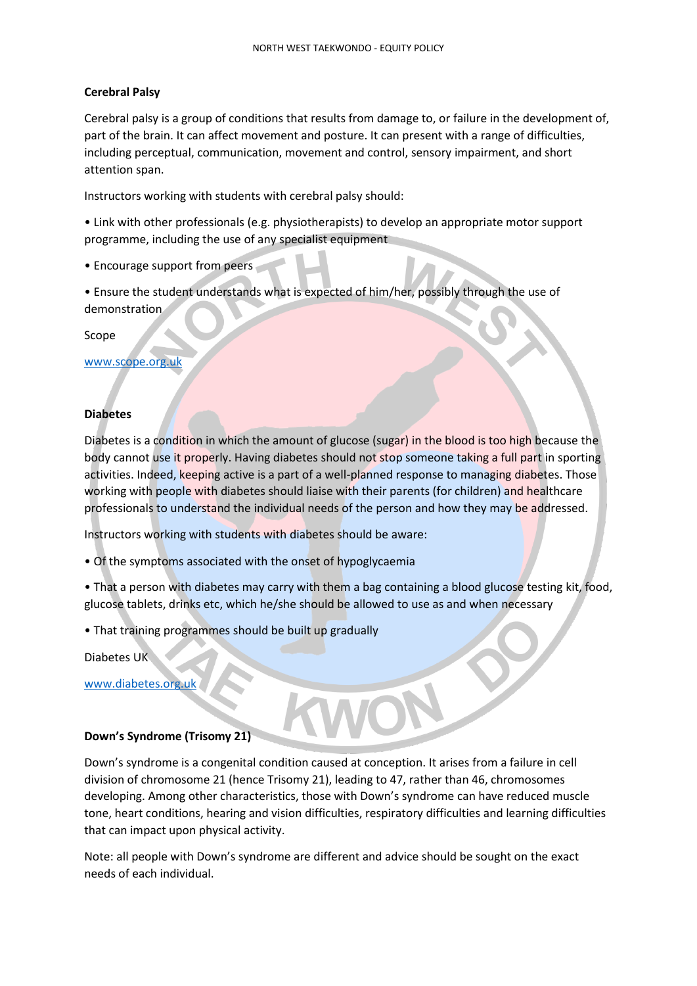### **Cerebral Palsy**

Cerebral palsy is a group of conditions that results from damage to, or failure in the development of, part of the brain. It can affect movement and posture. It can present with a range of difficulties, including perceptual, communication, movement and control, sensory impairment, and short attention span.

Instructors working with students with cerebral palsy should:

• Link with other professionals (e.g. physiotherapists) to develop an appropriate motor support programme, including the use of any specialist equipment

• Encourage support from peers

• Ensure the student understands what is expected of him/her, possibly through the use of demonstration

Scope

### [www.scope.org.uk](http://www.scope.org.uk/)

### **Diabetes**

Diabetes is a condition in which the amount of glucose (sugar) in the blood is too high because the body cannot use it properly. Having diabetes should not stop someone taking a full part in sporting activities. Indeed, keeping active is a part of a well-planned response to managing diabetes. Those working with people with diabetes should liaise with their parents (for children) and healthcare professionals to understand the individual needs of the person and how they may be addressed.

Instructors working with students with diabetes should be aware:

• Of the symptoms associated with the onset of hypoglycaemia

• That a person with diabetes may carry with them a bag containing a blood glucose testing kit, food, glucose tablets, drinks etc, which he/she should be allowed to use as and when necessary

• That training programmes should be built up gradually

Diabetes UK

[www.diabetes.org.uk](http://www.diabetes.org.uk/)

### **Down's Syndrome (Trisomy 21)**

Down's syndrome is a congenital condition caused at conception. It arises from a failure in cell division of chromosome 21 (hence Trisomy 21), leading to 47, rather than 46, chromosomes developing. Among other characteristics, those with Down's syndrome can have reduced muscle tone, heart conditions, hearing and vision difficulties, respiratory difficulties and learning difficulties that can impact upon physical activity.

Note: all people with Down's syndrome are different and advice should be sought on the exact needs of each individual.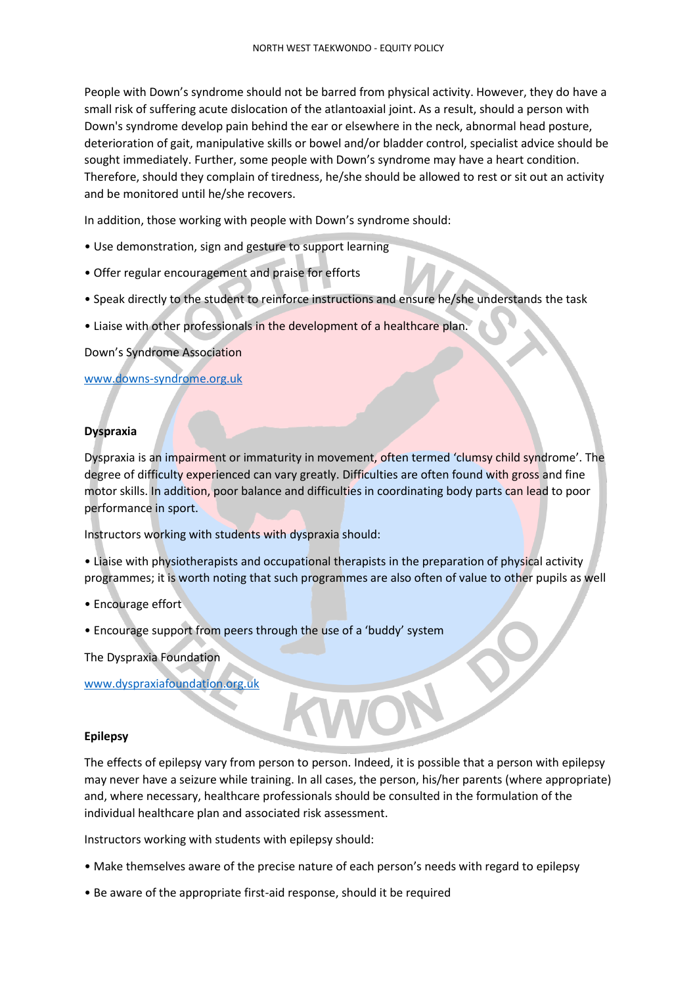People with Down's syndrome should not be barred from physical activity. However, they do have a small risk of suffering acute dislocation of the atlantoaxial joint. As a result, should a person with Down's syndrome develop pain behind the ear or elsewhere in the neck, abnormal head posture, deterioration of gait, manipulative skills or bowel and/or bladder control, specialist advice should be sought immediately. Further, some people with Down's syndrome may have a heart condition. Therefore, should they complain of tiredness, he/she should be allowed to rest or sit out an activity and be monitored until he/she recovers.

In addition, those working with people with Down's syndrome should:

- Use demonstration, sign and gesture to support learning
- Offer regular encouragement and praise for efforts
- Speak directly to the student to reinforce instructions and ensure he/she understands the task
- Liaise with other professionals in the development of a healthcare plan.

Down's Syndrome Association

[www.downs-syndrome.org.uk](http://www.downs-syndrome.org.uk/)

#### **Dyspraxia**

Dyspraxia is an impairment or immaturity in movement, often termed 'clumsy child syndrome'. The degree of difficulty experienced can vary greatly. Difficulties are often found with gross and fine motor skills. In addition, poor balance and difficulties in coordinating body parts can lead to poor performance in sport.

Instructors working with students with dyspraxia should:

• Liaise with physiotherapists and occupational therapists in the preparation of physical activity programmes; it is worth noting that such programmes are also often of value to other pupils as well

- Encourage effort
- Encourage support from peers through the use of a 'buddy' system

The Dyspraxia Foundation

[www.dyspraxiafoundation.org.uk](http://www.dyspraxiafoundation.org.uk/)

#### **Epilepsy**

The effects of epilepsy vary from person to person. Indeed, it is possible that a person with epilepsy may never have a seizure while training. In all cases, the person, his/her parents (where appropriate) and, where necessary, healthcare professionals should be consulted in the formulation of the individual healthcare plan and associated risk assessment.

Instructors working with students with epilepsy should:

- Make themselves aware of the precise nature of each person's needs with regard to epilepsy
- Be aware of the appropriate first-aid response, should it be required